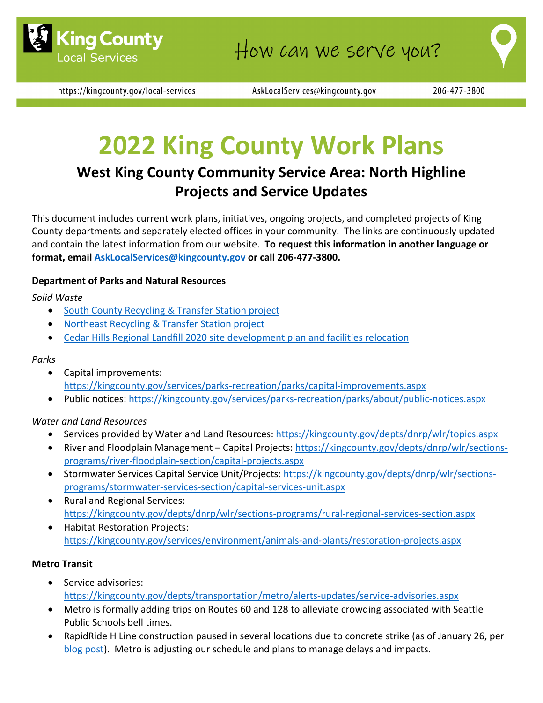

https://kingcounty.gov/local-services

AskLocalServices@kingcounty.gov

206-477-3800

# **2022 King County Work Plans**

## **West King County Community Service Area: North Highline Projects and Service Updates**

This document includes current work plans, initiatives, ongoing projects, and completed projects of King County departments and separately elected offices in your community. The links are continuously updated and contain the latest information from our website. **To request this information in another language or format, email [AskLocalServices@kingcounty.gov](mailto:AskLocalServices@kingcounty.gov) or call 206-477-3800.**

### **Department of Parks and Natural Resources**

*Solid Waste*

- [South County Recycling & Transfer Station project](https://kingcounty.gov/depts/dnrp/solid-waste/facilities/south-county.aspx)
- [Northeast Recycling & Transfer Station project](https://kingcounty.gov/depts/dnrp/solid-waste/facilities/northeast.aspx)
- [Cedar Hills Regional Landfill 2020 site development plan and facilities relocation](https://kingcounty.gov/depts/dnrp/solid-waste/facilities/landfills/cedar-hills-development.aspx)

#### *Parks*

- Capital improvements: <https://kingcounty.gov/services/parks-recreation/parks/capital-improvements.aspx>
- Public notices:<https://kingcounty.gov/services/parks-recreation/parks/about/public-notices.aspx>

#### *Water and Land Resources*

- Services provided by Water and Land Resources:<https://kingcounty.gov/depts/dnrp/wlr/topics.aspx>
- River and Floodplain Management Capital Projects: [https://kingcounty.gov/depts/dnrp/wlr/sections](https://kingcounty.gov/depts/dnrp/wlr/sections-programs/river-floodplain-section/capital-projects.aspx)[programs/river-floodplain-section/capital-projects.aspx](https://kingcounty.gov/depts/dnrp/wlr/sections-programs/river-floodplain-section/capital-projects.aspx)
- Stormwater Services Capital Service Unit/Projects: [https://kingcounty.gov/depts/dnrp/wlr/sections](https://kingcounty.gov/depts/dnrp/wlr/sections-programs/stormwater-services-section/capital-services-unit.aspx)[programs/stormwater-services-section/capital-services-unit.aspx](https://kingcounty.gov/depts/dnrp/wlr/sections-programs/stormwater-services-section/capital-services-unit.aspx)
- Rural and Regional Services: <https://kingcounty.gov/depts/dnrp/wlr/sections-programs/rural-regional-services-section.aspx>
- Habitat Restoration Projects: <https://kingcounty.gov/services/environment/animals-and-plants/restoration-projects.aspx>

#### **Metro Transit**

- Service advisories: <https://kingcounty.gov/depts/transportation/metro/alerts-updates/service-advisories.aspx>
- Metro is formally adding trips on Routes 60 and 128 to alleviate crowding associated with Seattle Public Schools bell times.
- RapidRide H Line construction paused in several locations due to concrete strike (as of January 26, per [blog post\)](https://gcc02.safelinks.protection.outlook.com/?url=https%3A%2F%2Fkingcountymetro.blog%2F2022%2F01%2F26%2Frapidride-h-line-construction-update-january-2022%2F&data=04%7C01%7CDeAnna.Martin%40kingcounty.gov%7C81dac4b09b0c45d3f7ab08d9f17feb83%7Cbae5059a76f049d7999672dfe95d69c7%7C0%7C0%7C637806353973349918%7CUnknown%7CTWFpbGZsb3d8eyJWIjoiMC4wLjAwMDAiLCJQIjoiV2luMzIiLCJBTiI6Ik1haWwiLCJXVCI6Mn0%3D%7C3000&sdata=y1DiYBInzz7Y6GW6o2JtkcZ5OIbQ3Av2zjUXwj6CDQE%3D&reserved=0). Metro is adjusting our schedule and plans to manage delays and impacts.